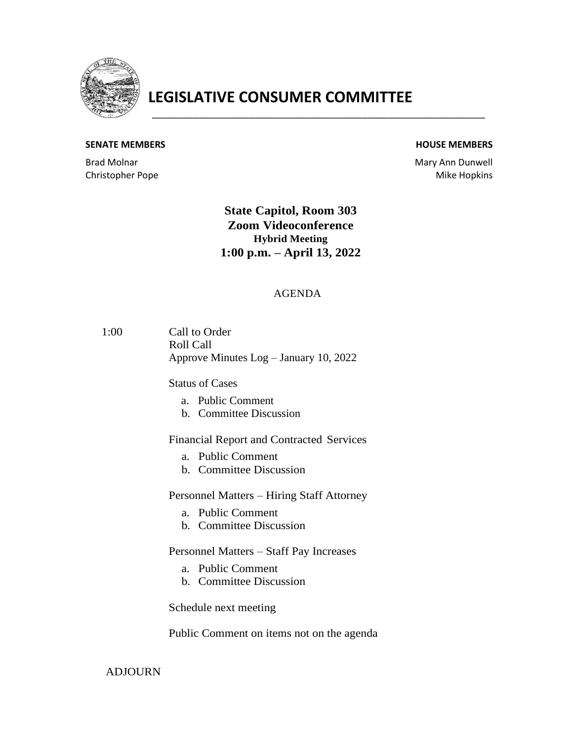

# **LEGISLATIVE CONSUMER COMMITTEE**

\_\_\_\_\_\_\_\_\_\_\_\_\_\_\_\_\_\_\_\_\_\_\_\_\_\_\_\_\_\_\_\_\_\_\_\_\_\_\_\_\_\_\_\_\_\_\_\_\_\_\_\_\_\_\_\_\_\_\_\_\_\_\_\_\_

#### **SENATE MEMBERS HOUSE MEMBERS**

Brad Molnar Christopher Pope

Mary Ann Dunwell Mike Hopkins

**State Capitol, Room 303 Zoom Videoconference Hybrid Meeting 1:00 p.m. – April 13, 2022**

### AGENDA

1:00 Call to Order Roll Call Approve Minutes Log – January 10, 2022

Status of Cases

- a. Public Comment
- b. Committee Discussion

Financial Report and Contracted Services

- a. Public Comment
- b. Committee Discussion

Personnel Matters – Hiring Staff Attorney

- a. Public Comment
- b. Committee Discussion

Personnel Matters – Staff Pay Increases

- a. Public Comment
- b. Committee Discussion

Schedule next meeting

Public Comment on items not on the agenda

# ADJOURN